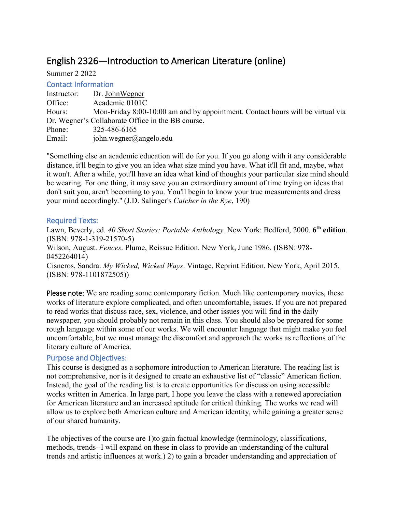# English 2326—Introduction to American Literature (online)

Summer 2 2022

## Contact Information

| Instructor: | Dr. John Wegner                                                                |
|-------------|--------------------------------------------------------------------------------|
| Office:     | Academic 0101C                                                                 |
| Hours:      | Mon-Friday 8:00-10:00 am and by appointment. Contact hours will be virtual via |
|             | Dr. Wegner's Collaborate Office in the BB course.                              |
| Phone:      | 325-486-6165                                                                   |
| Email:      | john.wegner@angelo.edu                                                         |

"Something else an academic education will do for you. If you go along with it any considerable distance, it'll begin to give you an idea what size mind you have. What it'll fit and, maybe, what it won't. After a while, you'll have an idea what kind of thoughts your particular size mind should be wearing. For one thing, it may save you an extraordinary amount of time trying on ideas that don't suit you, aren't becoming to you. You'll begin to know your true measurements and dress your mind accordingly." (J.D. Salinger's *Catcher in the Rye*, 190)

# Required Texts:

Lawn, Beverly, ed. *40 Short Stories: Portable Anthology.* New York: Bedford, 2000. **6th edition**. (ISBN: 978-1-319-21570-5) Wilson, August. *Fences*. Plume, Reissue Edition. New York, June 1986. (ISBN: 978- 0452264014) Cisneros, Sandra. *My Wicked, Wicked Ways*. Vintage, Reprint Edition. New York, April 2015. (ISBN: 978-1101872505))

Please note: We are reading some contemporary fiction. Much like contemporary movies, these works of literature explore complicated, and often uncomfortable, issues. If you are not prepared to read works that discuss race, sex, violence, and other issues you will find in the daily newspaper, you should probably not remain in this class. You should also be prepared for some rough language within some of our works. We will encounter language that might make you feel uncomfortable, but we must manage the discomfort and approach the works as reflections of the literary culture of America.

# Purpose and Objectives:

This course is designed as a sophomore introduction to American literature. The reading list is not comprehensive, nor is it designed to create an exhaustive list of "classic" American fiction. Instead, the goal of the reading list is to create opportunities for discussion using accessible works written in America. In large part, I hope you leave the class with a renewed appreciation for American literature and an increased aptitude for critical thinking. The works we read will allow us to explore both American culture and American identity, while gaining a greater sense of our shared humanity.

The objectives of the course are 1)to gain factual knowledge (terminology, classifications, methods, trends--I will expand on these in class to provide an understanding of the cultural trends and artistic influences at work.) 2) to gain a broader understanding and appreciation of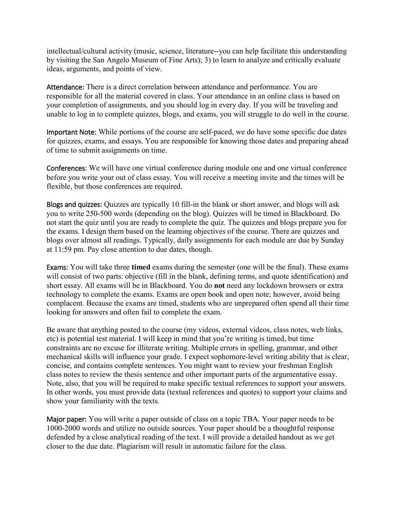intellectual/cultural activity (music, science, literature--you can help facilitate this understanding by visiting the San Angelo Museum of Fine Arts); 3) to learn to analyze and critically evaluate ideas, arguments, and points of view.

Attendance: There is a direct correlation between attendance and performance. You are responsible for all the material covered in class. Your attendance in an online class is based on your completion of assignments, and you should log in every day. If you will be traveling and unable to log in to complete quizzes, blogs, and exams, you will struggle to do well in the course.

Important Note: While portions of the course are self-paced, we do have some specific due dates for quizzes, exams, and essays. You are responsible for knowing those dates and preparing ahead of time to submit assignments on time.

Conferences: We will have one virtual conference during module one and one virtual conference before you write your out of class essay. You will receive a meeting invite and the times will be flexible, but those conferences are required.

Blogs and quizzes: Quizzes are typically 10 fill-in the blank or short answer, and blogs will ask you to write 250-500 words (depending on the blog). Quizzes will be timed in Blackboard. Do not start the quiz until you are ready to complete the quiz. The quizzes and blogs prepare you for the exams. I design them based on the learning objectives of the course. There are quizzes and blogs over almost all readings. Typically, daily assignments for each module are due by Sunday at 11:59 pm. Pay close attention to due dates, though.

Exams: You will take three **timed** exams during the semester (one will be the final). These exams will consist of two parts: objective (fill in the blank, defining terms, and quote identification) and short essay. All exams will be in Blackboard. You do **not** need any lockdown browsers or extra technology to complete the exams. Exams are open book and open note; however, avoid being complacent. Because the exams are timed, students who are unprepared often spend all their time looking for answers and often fail to complete the exam.

Be aware that anything posted to the course (my videos, external videos, class notes, web links, etc) is potential test material. I will keep in mind that you're writing is timed, but time constraints are no excuse for illiterate writing. Multiple errors in spelling, grammar, and other mechanical skills will influence your grade. I expect sophomore-level writing ability that is clear, concise, and contains complete sentences. You might want to review your freshman English class notes to review the thesis sentence and other important parts of the argumentative essay. Note, also, that you will be required to make specific textual references to support your answers. In other words, you must provide data (textual references and quotes) to support your claims and show your familiarity with the texts.

Major paper: You will write a paper outside of class on a topic TBA. Your paper needs to be 1000-2000 words and utilize no outside sources. Your paper should be a thoughtful response defended by a close analytical reading of the text. I will provide a detailed handout as we get closer to the due date. Plagiarism will result in automatic failure for the class.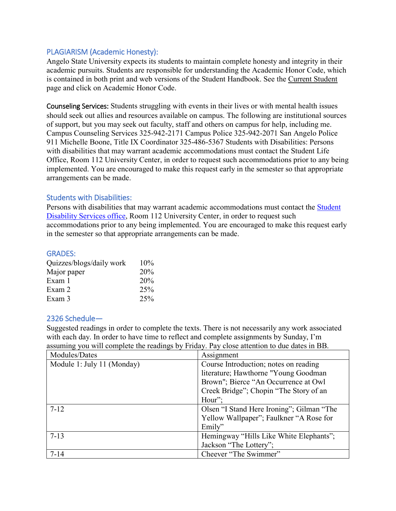## PLAGIARISM (Academic Honesty):

Angelo State University expects its students to maintain complete honesty and integrity in their academic pursuits. Students are responsible for understanding the Academic Honor Code, which is contained in both print and web versions of the Student Handbook. See the [Current Student](http://www.angelo.edu/cstudent/index.htm) page and click on Academic Honor Code.

Counseling Services: Students struggling with events in their lives or with mental health issues should seek out allies and resources available on campus. The following are institutional sources of support, but you may seek out faculty, staff and others on campus for help, including me. Campus Counseling Services 325-942-2171 Campus Police 325-942-2071 San Angelo Police 911 Michelle Boone, Title IX Coordinator 325-486-5367 Students with Disabilities: Persons with disabilities that may warrant academic accommodations must contact the Student Life Office, Room 112 University Center, in order to request such accommodations prior to any being implemented. You are encouraged to make this request early in the semester so that appropriate arrangements can be made.

#### Students with Disabilities:

Persons with disabilities that may warrant academic accommodations must contact the [Student](https://www.angelo.edu/current-students/disability-services/)  [Disability Services office,](https://www.angelo.edu/current-students/disability-services/) Room 112 University Center, in order to request such accommodations prior to any being implemented. You are encouraged to make this request early in the semester so that appropriate arrangements can be made.

#### GRADES:

| Quizzes/blogs/daily work | $10\%$ |
|--------------------------|--------|
| Major paper              | 20%    |
| Exam 1                   | 20%    |
| Exam 2                   | 25%    |
| Exam 3                   | 25%    |

#### 2326 Schedule—

Suggested readings in order to complete the texts. There is not necessarily any work associated with each day. In order to have time to reflect and complete assignments by Sunday, I'm assuming you will complete the readings by Friday. Pay close attention to due dates in BB.

| Modules/Dates              | Assignment                                |
|----------------------------|-------------------------------------------|
| Module 1: July 11 (Monday) | Course Introduction; notes on reading     |
|                            | literature; Hawthorne "Young Goodman      |
|                            | Brown"; Bierce "An Occurrence at Owl      |
|                            | Creek Bridge"; Chopin "The Story of an    |
|                            | Hour";                                    |
| $7-12$                     | Olsen "I Stand Here Ironing"; Gilman "The |
|                            | Yellow Wallpaper"; Faulkner "A Rose for   |
|                            | Emily"                                    |
| $7-13$                     | Hemingway "Hills Like White Elephants";   |
|                            | Jackson "The Lottery";                    |
| $7 - 14$                   | Cheever "The Swimmer"                     |